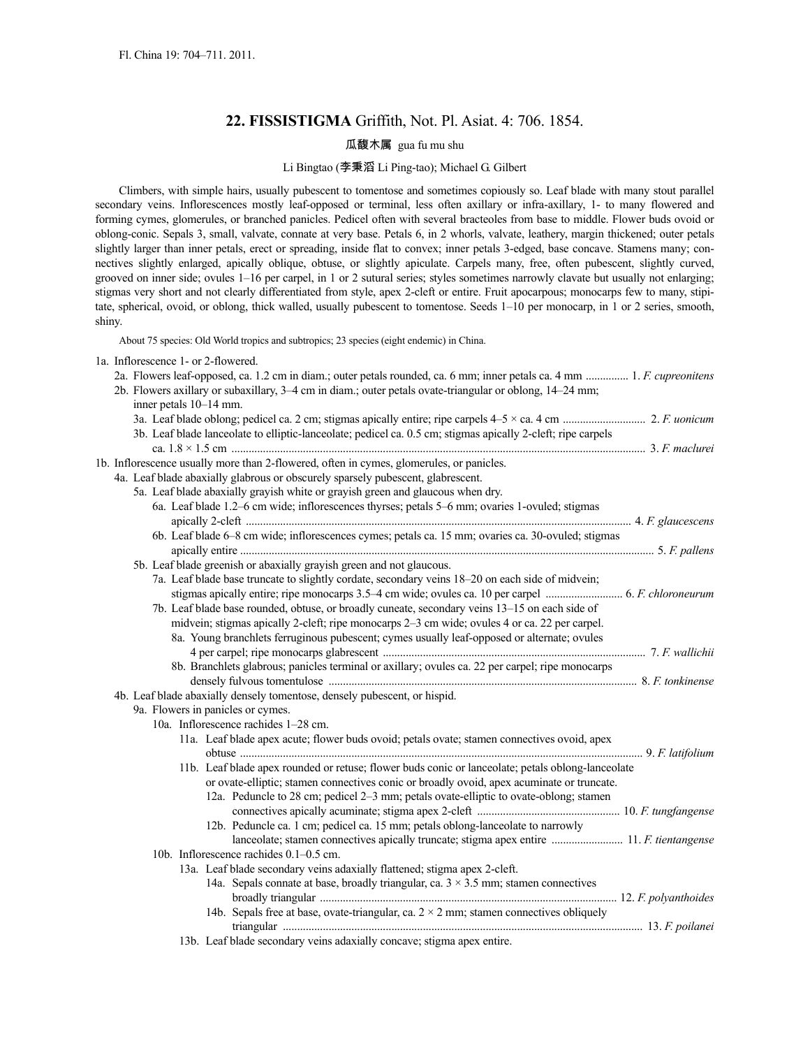# **22. FISSISTIGMA** Griffith, Not. Pl. Asiat. 4: 706. 1854.

# 瓜馥木属 gua fu mu shu

### Li Bingtao (李秉滔 Li Ping-tao); Michael G. Gilbert

Climbers, with simple hairs, usually pubescent to tomentose and sometimes copiously so. Leaf blade with many stout parallel secondary veins. Inflorescences mostly leaf-opposed or terminal, less often axillary or infra-axillary, 1- to many flowered and forming cymes, glomerules, or branched panicles. Pedicel often with several bracteoles from base to middle. Flower buds ovoid or oblong-conic. Sepals 3, small, valvate, connate at very base. Petals 6, in 2 whorls, valvate, leathery, margin thickened; outer petals slightly larger than inner petals, erect or spreading, inside flat to convex; inner petals 3-edged, base concave. Stamens many; connectives slightly enlarged, apically oblique, obtuse, or slightly apiculate. Carpels many, free, often pubescent, slightly curved, grooved on inner side; ovules 1–16 per carpel, in 1 or 2 sutural series; styles sometimes narrowly clavate but usually not enlarging; stigmas very short and not clearly differentiated from style, apex 2-cleft or entire. Fruit apocarpous; monocarps few to many, stipitate, spherical, ovoid, or oblong, thick walled, usually pubescent to tomentose. Seeds 1–10 per monocarp, in 1 or 2 series, smooth, shiny.

About 75 species: Old World tropics and subtropics; 23 species (eight endemic) in China.

|  |  | 1a. Inflorescence 1- or 2-flowered. |  |  |  |
|--|--|-------------------------------------|--|--|--|
|  |  |                                     |  |  |  |

|  | 2a. Flowers leaf-opposed, ca. 1.2 cm in diam.; outer petals rounded, ca. 6 mm; inner petals ca. 4 mm  1. F. cupreonitens                                                                       |  |
|--|------------------------------------------------------------------------------------------------------------------------------------------------------------------------------------------------|--|
|  | 2b. Flowers axillary or subaxillary, 3-4 cm in diam.; outer petals ovate-triangular or oblong, 14-24 mm;                                                                                       |  |
|  | inner petals 10–14 mm.                                                                                                                                                                         |  |
|  |                                                                                                                                                                                                |  |
|  | 3b. Leaf blade lanceolate to elliptic-lanceolate; pedicel ca. 0.5 cm; stigmas apically 2-cleft; ripe carpels                                                                                   |  |
|  |                                                                                                                                                                                                |  |
|  | 1b. Inflorescence usually more than 2-flowered, often in cymes, glomerules, or panicles.                                                                                                       |  |
|  | 4a. Leaf blade abaxially glabrous or obscurely sparsely pubescent, glabrescent.                                                                                                                |  |
|  | 5a. Leaf blade abaxially grayish white or grayish green and glaucous when dry.                                                                                                                 |  |
|  | 6a. Leaf blade 1.2-6 cm wide; inflorescences thyrses; petals 5-6 mm; ovaries 1-ovuled; stigmas                                                                                                 |  |
|  |                                                                                                                                                                                                |  |
|  | 6b. Leaf blade 6–8 cm wide; inflorescences cymes; petals ca. 15 mm; ovaries ca. 30-ovuled; stigmas                                                                                             |  |
|  |                                                                                                                                                                                                |  |
|  | 5b. Leaf blade greenish or abaxially grayish green and not glaucous.                                                                                                                           |  |
|  | 7a. Leaf blade base truncate to slightly cordate, secondary veins 18–20 on each side of midvein;                                                                                               |  |
|  |                                                                                                                                                                                                |  |
|  | 7b. Leaf blade base rounded, obtuse, or broadly cuneate, secondary veins 13-15 on each side of                                                                                                 |  |
|  | midvein; stigmas apically 2-cleft; ripe monocarps 2–3 cm wide; ovules 4 or ca. 22 per carpel.                                                                                                  |  |
|  | 8a. Young branchlets ferruginous pubescent; cymes usually leaf-opposed or alternate; ovules                                                                                                    |  |
|  |                                                                                                                                                                                                |  |
|  | 8b. Branchlets glabrous; panicles terminal or axillary; ovules ca. 22 per carpel; ripe monocarps                                                                                               |  |
|  |                                                                                                                                                                                                |  |
|  | 4b. Leaf blade abaxially densely tomentose, densely pubescent, or hispid.                                                                                                                      |  |
|  | 9a. Flowers in panicles or cymes.                                                                                                                                                              |  |
|  | 10a. Inflorescence rachides 1-28 cm.                                                                                                                                                           |  |
|  | 11a. Leaf blade apex acute; flower buds ovoid; petals ovate; stamen connectives ovoid, apex                                                                                                    |  |
|  |                                                                                                                                                                                                |  |
|  | 11b. Leaf blade apex rounded or retuse; flower buds conic or lanceolate; petals oblong-lanceolate<br>or ovate-elliptic; stamen connectives conic or broadly ovoid, apex acuminate or truncate. |  |
|  | 12a. Peduncle to 28 cm; pedicel 2-3 mm; petals ovate-elliptic to ovate-oblong; stamen                                                                                                          |  |
|  |                                                                                                                                                                                                |  |
|  | 12b. Peduncle ca. 1 cm; pedicel ca. 15 mm; petals oblong-lanceolate to narrowly                                                                                                                |  |
|  | lanceolate; stamen connectives apically truncate; stigma apex entire  11. F. tientangense                                                                                                      |  |
|  | 10b. Inflorescence rachides 0.1-0.5 cm.                                                                                                                                                        |  |
|  | 13a. Leaf blade secondary veins adaxially flattened; stigma apex 2-cleft.                                                                                                                      |  |
|  | 14a. Sepals connate at base, broadly triangular, ca. $3 \times 3.5$ mm; stamen connectives                                                                                                     |  |
|  |                                                                                                                                                                                                |  |
|  | 14b. Sepals free at base, ovate-triangular, ca. $2 \times 2$ mm; stamen connectives obliquely                                                                                                  |  |
|  |                                                                                                                                                                                                |  |
|  | 13b. Leaf blade secondary veins adaxially concave; stigma apex entire.                                                                                                                         |  |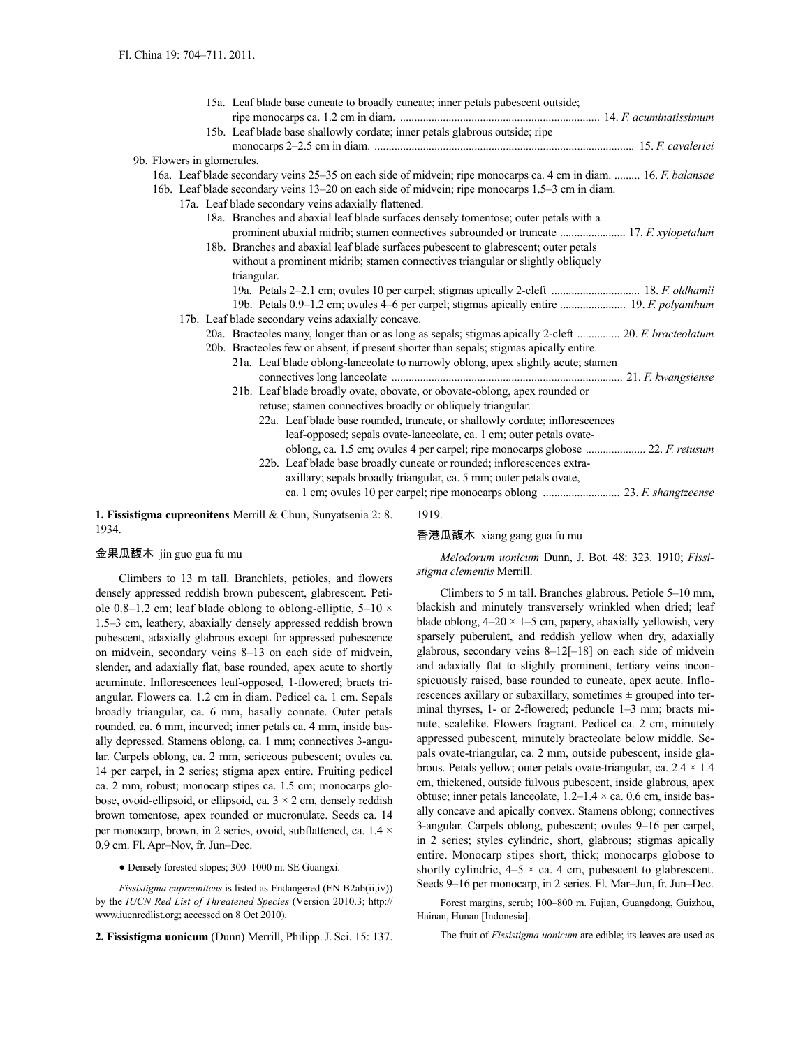|                            |  | 15a. Leaf blade base cuneate to broadly cuneate; inner petals pubescent outside;                                                                                                                                                                                                                                                 |  |
|----------------------------|--|----------------------------------------------------------------------------------------------------------------------------------------------------------------------------------------------------------------------------------------------------------------------------------------------------------------------------------|--|
|                            |  |                                                                                                                                                                                                                                                                                                                                  |  |
|                            |  | 15b. Leaf blade base shallowly cordate; inner petals glabrous outside; ripe                                                                                                                                                                                                                                                      |  |
|                            |  |                                                                                                                                                                                                                                                                                                                                  |  |
| 9b. Flowers in glomerules. |  |                                                                                                                                                                                                                                                                                                                                  |  |
|                            |  | 16. Leaf blade secondary veins 25–35 on each side of midvein; ripe monocarps ca. 4 cm in diam.  16. F. balansae                                                                                                                                                                                                                  |  |
|                            |  | 16b. Leaf blade secondary veins 13–20 on each side of midvein; ripe monocarps 1.5–3 cm in diam.                                                                                                                                                                                                                                  |  |
|                            |  | 17a. Leaf blade secondary veins adaxially flattened.                                                                                                                                                                                                                                                                             |  |
|                            |  | 18a. Branches and abaxial leaf blade surfaces densely tomentose; outer petals with a                                                                                                                                                                                                                                             |  |
|                            |  | prominent abaxial midrib; stamen connectives subrounded or truncate  17. F. xylopetalum                                                                                                                                                                                                                                          |  |
|                            |  | 18b. Branches and abaxial leaf blade surfaces pubescent to glabrescent; outer petals                                                                                                                                                                                                                                             |  |
|                            |  | without a prominent midrib; stamen connectives triangular or slightly obliquely                                                                                                                                                                                                                                                  |  |
|                            |  | triangular.                                                                                                                                                                                                                                                                                                                      |  |
|                            |  |                                                                                                                                                                                                                                                                                                                                  |  |
|                            |  | 19b. Petals 0.9-1.2 cm; ovules 4-6 per carpel; stigmas apically entire  19. F. polyanthum                                                                                                                                                                                                                                        |  |
|                            |  | 17b. Leaf blade secondary veins adaxially concave.                                                                                                                                                                                                                                                                               |  |
|                            |  | 20a. Bracteoles many, longer than or as long as sepals; stigmas apically 2-cleft  20. F. bracteolatum                                                                                                                                                                                                                            |  |
|                            |  | 20b. Bracteoles few or absent, if present shorter than sepals; stigmas apically entire.                                                                                                                                                                                                                                          |  |
|                            |  | 21a. Leaf blade oblong-lanceolate to narrowly oblong, apex slightly acute; stamen                                                                                                                                                                                                                                                |  |
|                            |  |                                                                                                                                                                                                                                                                                                                                  |  |
|                            |  | 21b. Leaf blade broadly ovate, obovate, or obovate-oblong, apex rounded or                                                                                                                                                                                                                                                       |  |
|                            |  | retuse; stamen connectives broadly or obliquely triangular.                                                                                                                                                                                                                                                                      |  |
|                            |  | 22a. Leaf blade base rounded, truncate, or shallowly cordate; inflorescences<br>leaf-opposed; sepals ovate-lanceolate, ca. 1 cm; outer petals ovate-                                                                                                                                                                             |  |
|                            |  |                                                                                                                                                                                                                                                                                                                                  |  |
|                            |  | 22b. Leaf blade base broadly cuneate or rounded; inflorescences extra-                                                                                                                                                                                                                                                           |  |
|                            |  | axillary; sepals broadly triangular, ca. 5 mm; outer petals ovate,                                                                                                                                                                                                                                                               |  |
|                            |  |                                                                                                                                                                                                                                                                                                                                  |  |
|                            |  |                                                                                                                                                                                                                                                                                                                                  |  |
|                            |  | $\alpha$ and $\alpha$ and $\alpha$ and $\alpha$ and $\alpha$ and $\alpha$ and $\alpha$ and $\alpha$ and $\alpha$ and $\alpha$ and $\alpha$ and $\alpha$ and $\alpha$ and $\alpha$ and $\alpha$ and $\alpha$ and $\alpha$ and $\alpha$ and $\alpha$ and $\alpha$ and $\alpha$ and $\alpha$ and $\alpha$ and $\alpha$ and $\alpha$ |  |

**1. Fissistigma cupreonitens** Merrill & Chun, Sunyatsenia 2: 8. 1934.

1919.

# 香港瓜馥木 xiang gang gua fu mu

# 金果瓜馥木 jin guo gua fu mu

Climbers to 13 m tall. Branchlets, petioles, and flowers densely appressed reddish brown pubescent, glabrescent. Petiole 0.8–1.2 cm; leaf blade oblong to oblong-elliptic,  $5-10 \times$ 1.5–3 cm, leathery, abaxially densely appressed reddish brown pubescent, adaxially glabrous except for appressed pubescence on midvein, secondary veins 8–13 on each side of midvein, slender, and adaxially flat, base rounded, apex acute to shortly acuminate. Inflorescences leaf-opposed, 1-flowered; bracts triangular. Flowers ca. 1.2 cm in diam. Pedicel ca. 1 cm. Sepals broadly triangular, ca. 6 mm, basally connate. Outer petals rounded, ca. 6 mm, incurved; inner petals ca. 4 mm, inside basally depressed. Stamens oblong, ca. 1 mm; connectives 3-angular. Carpels oblong, ca. 2 mm, sericeous pubescent; ovules ca. 14 per carpel, in 2 series; stigma apex entire. Fruiting pedicel ca. 2 mm, robust; monocarp stipes ca. 1.5 cm; monocarps globose, ovoid-ellipsoid, or ellipsoid, ca.  $3 \times 2$  cm, densely reddish brown tomentose, apex rounded or mucronulate. Seeds ca. 14 per monocarp, brown, in 2 series, ovoid, subflattened, ca. 1.4 × 0.9 cm. Fl. Apr–Nov, fr. Jun–Dec.

● Densely forested slopes; 300–1000 m. SE Guangxi.

*Fissistigma cupreonitens* is listed as Endangered (EN B2ab(ii,iv)) by the *IUCN Red List of Threatened Species* (Version 2010.3; http:// www.iucnredlist.org; accessed on 8 Oct 2010).

**2. Fissistigma uonicum** (Dunn) Merrill, Philipp.J. Sci. 15: 137.

*Melodorum uonicum* Dunn, J. Bot. 48: 323. 1910; *Fissistigma clementis* Merrill.

Climbers to 5 m tall. Branches glabrous. Petiole 5–10 mm, blackish and minutely transversely wrinkled when dried; leaf blade oblong,  $4-20 \times 1-5$  cm, papery, abaxially yellowish, very sparsely puberulent, and reddish yellow when dry, adaxially glabrous, secondary veins 8–12[–18] on each side of midvein and adaxially flat to slightly prominent, tertiary veins inconspicuously raised, base rounded to cuneate, apex acute. Inflorescences axillary or subaxillary, sometimes  $\pm$  grouped into terminal thyrses, 1- or 2-flowered; peduncle 1–3 mm; bracts minute, scalelike. Flowers fragrant. Pedicel ca. 2 cm, minutely appressed pubescent, minutely bracteolate below middle. Sepals ovate-triangular, ca. 2 mm, outside pubescent, inside glabrous. Petals yellow; outer petals ovate-triangular, ca.  $2.4 \times 1.4$ cm, thickened, outside fulvous pubescent, inside glabrous, apex obtuse; inner petals lanceolate,  $1.2-1.4 \times$  ca. 0.6 cm, inside basally concave and apically convex. Stamens oblong; connectives 3-angular. Carpels oblong, pubescent; ovules 9–16 per carpel, in 2 series; styles cylindric, short, glabrous; stigmas apically entire. Monocarp stipes short, thick; monocarps globose to shortly cylindric,  $4-5 \times$  ca. 4 cm, pubescent to glabrescent. Seeds 9–16 per monocarp, in 2 series. Fl. Mar–Jun, fr. Jun–Dec.

Forest margins, scrub; 100–800 m. Fujian, Guangdong, Guizhou, Hainan, Hunan [Indonesia].

The fruit of *Fissistigma uonicum* are edible; its leaves are used as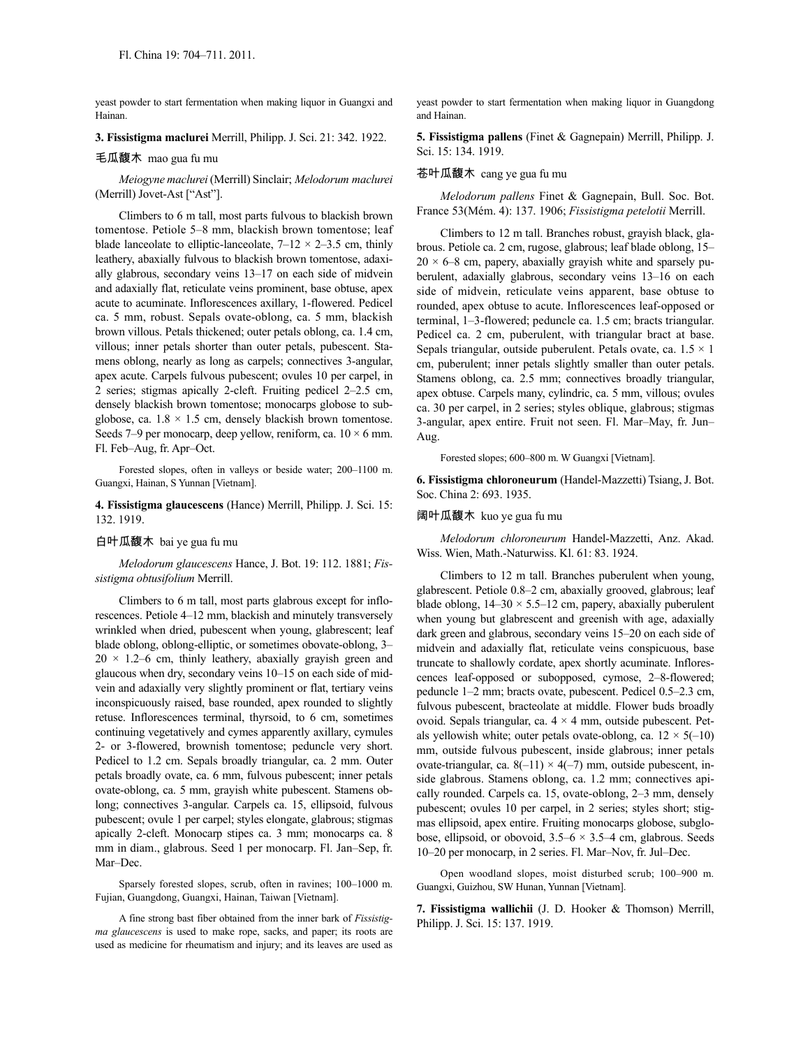yeast powder to start fermentation when making liquor in Guangxi and Hainan.

**3. Fissistigma maclurei** Merrill, Philipp. J. Sci. 21: 342. 1922.

#### 毛瓜馥木 mao gua fu mu

*Meiogyne maclurei* (Merrill) Sinclair; *Melodorum maclurei* (Merrill) Jovet-Ast ["Ast"].

Climbers to 6 m tall, most parts fulvous to blackish brown tomentose. Petiole 5–8 mm, blackish brown tomentose; leaf blade lanceolate to elliptic-lanceolate,  $7-12 \times 2-3.5$  cm, thinly leathery, abaxially fulvous to blackish brown tomentose, adaxially glabrous, secondary veins 13–17 on each side of midvein and adaxially flat, reticulate veins prominent, base obtuse, apex acute to acuminate. Inflorescences axillary, 1-flowered. Pedicel ca. 5 mm, robust. Sepals ovate-oblong, ca. 5 mm, blackish brown villous. Petals thickened; outer petals oblong, ca. 1.4 cm, villous; inner petals shorter than outer petals, pubescent. Stamens oblong, nearly as long as carpels; connectives 3-angular, apex acute. Carpels fulvous pubescent; ovules 10 per carpel, in 2 series; stigmas apically 2-cleft. Fruiting pedicel 2–2.5 cm, densely blackish brown tomentose; monocarps globose to subglobose, ca.  $1.8 \times 1.5$  cm, densely blackish brown tomentose. Seeds 7–9 per monocarp, deep yellow, reniform, ca.  $10 \times 6$  mm. Fl. Feb–Aug, fr. Apr–Oct.

Forested slopes, often in valleys or beside water; 200–1100 m. Guangxi, Hainan, S Yunnan [Vietnam].

**4. Fissistigma glaucescens** (Hance) Merrill, Philipp. J. Sci. 15: 132. 1919.

# 白叶瓜馥木 bai ye gua fu mu

*Melodorum glaucescens* Hance, J. Bot. 19: 112. 1881; *Fissistigma obtusifolium* Merrill.

Climbers to 6 m tall, most parts glabrous except for inflorescences. Petiole 4–12 mm, blackish and minutely transversely wrinkled when dried, pubescent when young, glabrescent; leaf blade oblong, oblong-elliptic, or sometimes obovate-oblong, 3–  $20 \times 1.2$ -6 cm, thinly leathery, abaxially grayish green and glaucous when dry, secondary veins 10–15 on each side of midvein and adaxially very slightly prominent or flat, tertiary veins inconspicuously raised, base rounded, apex rounded to slightly retuse. Inflorescences terminal, thyrsoid, to 6 cm, sometimes continuing vegetatively and cymes apparently axillary, cymules 2- or 3-flowered, brownish tomentose; peduncle very short. Pedicel to 1.2 cm. Sepals broadly triangular, ca. 2 mm. Outer petals broadly ovate, ca. 6 mm, fulvous pubescent; inner petals ovate-oblong, ca. 5 mm, grayish white pubescent. Stamens oblong; connectives 3-angular. Carpels ca. 15, ellipsoid, fulvous pubescent; ovule 1 per carpel; styles elongate, glabrous; stigmas apically 2-cleft. Monocarp stipes ca. 3 mm; monocarps ca. 8 mm in diam., glabrous. Seed 1 per monocarp. Fl. Jan–Sep, fr. Mar–Dec.

Sparsely forested slopes, scrub, often in ravines; 100–1000 m. Fujian, Guangdong, Guangxi, Hainan, Taiwan [Vietnam].

A fine strong bast fiber obtained from the inner bark of *Fissistigma glaucescens* is used to make rope, sacks, and paper; its roots are used as medicine for rheumatism and injury; and its leaves are used as yeast powder to start fermentation when making liquor in Guangdong and Hainan.

**5. Fissistigma pallens** (Finet & Gagnepain) Merrill, Philipp. J. Sci. 15: 134. 1919.

#### 苍叶瓜馥木 cang ye gua fu mu

*Melodorum pallens* Finet & Gagnepain, Bull. Soc. Bot. France 53(Mém. 4): 137. 1906; *Fissistigma petelotii* Merrill.

Climbers to 12 m tall. Branches robust, grayish black, glabrous. Petiole ca. 2 cm, rugose, glabrous; leaf blade oblong, 15–  $20 \times 6-8$  cm, papery, abaxially grayish white and sparsely puberulent, adaxially glabrous, secondary veins 13–16 on each side of midvein, reticulate veins apparent, base obtuse to rounded, apex obtuse to acute. Inflorescences leaf-opposed or terminal, 1–3-flowered; peduncle ca. 1.5 cm; bracts triangular. Pedicel ca. 2 cm, puberulent, with triangular bract at base. Sepals triangular, outside puberulent. Petals ovate, ca.  $1.5 \times 1$ cm, puberulent; inner petals slightly smaller than outer petals. Stamens oblong, ca. 2.5 mm; connectives broadly triangular, apex obtuse. Carpels many, cylindric, ca. 5 mm, villous; ovules ca. 30 per carpel, in 2 series; styles oblique, glabrous; stigmas 3-angular, apex entire. Fruit not seen. Fl. Mar–May, fr. Jun– Aug.

Forested slopes; 600–800 m. W Guangxi [Vietnam].

**6. Fissistigma chloroneurum** (Handel-Mazzetti) Tsiang,J. Bot. Soc. China 2: 693. 1935.

#### 阔叶瓜馥木 kuo ye gua fu mu

*Melodorum chloroneurum* Handel-Mazzetti, Anz. Akad. Wiss. Wien, Math.-Naturwiss. Kl. 61: 83. 1924.

Climbers to 12 m tall. Branches puberulent when young, glabrescent. Petiole 0.8–2 cm, abaxially grooved, glabrous; leaf blade oblong,  $14-30 \times 5.5-12$  cm, papery, abaxially puberulent when young but glabrescent and greenish with age, adaxially dark green and glabrous, secondary veins 15–20 on each side of midvein and adaxially flat, reticulate veins conspicuous, base truncate to shallowly cordate, apex shortly acuminate. Inflorescences leaf-opposed or subopposed, cymose, 2–8-flowered; peduncle 1–2 mm; bracts ovate, pubescent. Pedicel 0.5–2.3 cm, fulvous pubescent, bracteolate at middle. Flower buds broadly ovoid. Sepals triangular, ca.  $4 \times 4$  mm, outside pubescent. Petals yellowish white; outer petals ovate-oblong, ca.  $12 \times 5(-10)$ mm, outside fulvous pubescent, inside glabrous; inner petals ovate-triangular, ca.  $8(-11) \times 4(-7)$  mm, outside pubescent, inside glabrous. Stamens oblong, ca. 1.2 mm; connectives apically rounded. Carpels ca. 15, ovate-oblong, 2–3 mm, densely pubescent; ovules 10 per carpel, in 2 series; styles short; stigmas ellipsoid, apex entire. Fruiting monocarps globose, subglobose, ellipsoid, or obovoid,  $3.5-6 \times 3.5-4$  cm, glabrous. Seeds 10–20 per monocarp, in 2 series. Fl. Mar–Nov, fr. Jul–Dec.

Open woodland slopes, moist disturbed scrub; 100–900 m. Guangxi, Guizhou, SW Hunan, Yunnan [Vietnam].

**7. Fissistigma wallichii** (J. D. Hooker & Thomson) Merrill, Philipp. J. Sci. 15: 137. 1919.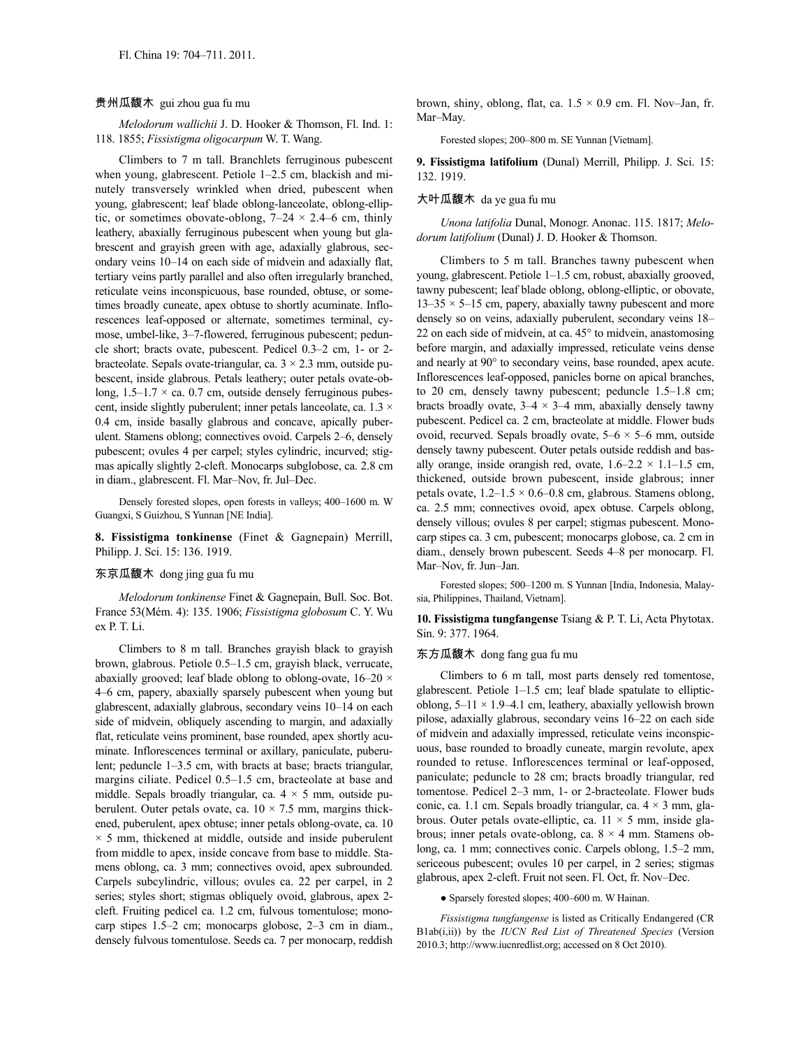#### 贵州瓜馥木 gui zhou gua fu mu

*Melodorum wallichii* J. D. Hooker & Thomson, Fl. Ind. 1: 118. 1855; *Fissistigma oligocarpum* W. T. Wang.

Climbers to 7 m tall. Branchlets ferruginous pubescent when young, glabrescent. Petiole 1–2.5 cm, blackish and minutely transversely wrinkled when dried, pubescent when young, glabrescent; leaf blade oblong-lanceolate, oblong-elliptic, or sometimes obovate-oblong,  $7-24 \times 2.4-6$  cm, thinly leathery, abaxially ferruginous pubescent when young but glabrescent and grayish green with age, adaxially glabrous, secondary veins 10–14 on each side of midvein and adaxially flat, tertiary veins partly parallel and also often irregularly branched, reticulate veins inconspicuous, base rounded, obtuse, or sometimes broadly cuneate, apex obtuse to shortly acuminate. Inflorescences leaf-opposed or alternate, sometimes terminal, cymose, umbel-like, 3–7-flowered, ferruginous pubescent; peduncle short; bracts ovate, pubescent. Pedicel 0.3–2 cm, 1- or 2 bracteolate. Sepals ovate-triangular, ca. 3 × 2.3 mm, outside pubescent, inside glabrous. Petals leathery; outer petals ovate-oblong,  $1.5-1.7 \times$  ca. 0.7 cm, outside densely ferruginous pubescent, inside slightly puberulent; inner petals lanceolate, ca. 1.3 × 0.4 cm, inside basally glabrous and concave, apically puberulent. Stamens oblong; connectives ovoid. Carpels 2–6, densely pubescent; ovules 4 per carpel; styles cylindric, incurved; stigmas apically slightly 2-cleft. Monocarps subglobose, ca. 2.8 cm in diam., glabrescent. Fl. Mar–Nov, fr. Jul–Dec.

Densely forested slopes, open forests in valleys; 400–1600 m. W Guangxi, S Guizhou, S Yunnan [NE India].

**8. Fissistigma tonkinense** (Finet & Gagnepain) Merrill, Philipp. J. Sci. 15: 136. 1919.

# 东京瓜馥木 dong jing gua fu mu

*Melodorum tonkinense* Finet & Gagnepain, Bull. Soc. Bot. France 53(Mém. 4): 135. 1906; *Fissistigma globosum* C. Y. Wu ex P. T. Li.

Climbers to 8 m tall. Branches grayish black to grayish brown, glabrous. Petiole 0.5–1.5 cm, grayish black, verrucate, abaxially grooved; leaf blade oblong to oblong-ovate,  $16-20 \times$ 4–6 cm, papery, abaxially sparsely pubescent when young but glabrescent, adaxially glabrous, secondary veins 10–14 on each side of midvein, obliquely ascending to margin, and adaxially flat, reticulate veins prominent, base rounded, apex shortly acuminate. Inflorescences terminal or axillary, paniculate, puberulent; peduncle 1–3.5 cm, with bracts at base; bracts triangular, margins ciliate. Pedicel 0.5–1.5 cm, bracteolate at base and middle. Sepals broadly triangular, ca.  $4 \times 5$  mm, outside puberulent. Outer petals ovate, ca.  $10 \times 7.5$  mm, margins thickened, puberulent, apex obtuse; inner petals oblong-ovate, ca. 10  $\times$  5 mm, thickened at middle, outside and inside puberulent from middle to apex, inside concave from base to middle. Stamens oblong, ca. 3 mm; connectives ovoid, apex subrounded. Carpels subcylindric, villous; ovules ca. 22 per carpel, in 2 series; styles short; stigmas obliquely ovoid, glabrous, apex 2 cleft. Fruiting pedicel ca. 1.2 cm, fulvous tomentulose; monocarp stipes 1.5–2 cm; monocarps globose, 2–3 cm in diam., densely fulvous tomentulose. Seeds ca. 7 per monocarp, reddish brown, shiny, oblong, flat, ca.  $1.5 \times 0.9$  cm. Fl. Nov–Jan, fr. Mar–May.

Forested slopes; 200–800 m. SE Yunnan [Vietnam].

**9. Fissistigma latifolium** (Dunal) Merrill, Philipp. J. Sci. 15: 132. 1919.

#### 大叶瓜馥木 da ye gua fu mu

*Unona latifolia* Dunal, Monogr. Anonac. 115. 1817; *Melodorum latifolium* (Dunal) J. D. Hooker & Thomson.

Climbers to 5 m tall. Branches tawny pubescent when young, glabrescent. Petiole 1–1.5 cm, robust, abaxially grooved, tawny pubescent; leaf blade oblong, oblong-elliptic, or obovate,  $13-35 \times 5-15$  cm, papery, abaxially tawny pubescent and more densely so on veins, adaxially puberulent, secondary veins 18– 22 on each side of midvein, at ca. 45° to midvein, anastomosing before margin, and adaxially impressed, reticulate veins dense and nearly at 90° to secondary veins, base rounded, apex acute. Inflorescences leaf-opposed, panicles borne on apical branches, to 20 cm, densely tawny pubescent; peduncle 1.5–1.8 cm; bracts broadly ovate,  $3-4 \times 3-4$  mm, abaxially densely tawny pubescent. Pedicel ca. 2 cm, bracteolate at middle. Flower buds ovoid, recurved. Sepals broadly ovate,  $5-6 \times 5-6$  mm, outside densely tawny pubescent. Outer petals outside reddish and basally orange, inside orangish red, ovate,  $1.6-2.2 \times 1.1-1.5$  cm, thickened, outside brown pubescent, inside glabrous; inner petals ovate,  $1.2-1.5 \times 0.6-0.8$  cm, glabrous. Stamens oblong, ca. 2.5 mm; connectives ovoid, apex obtuse. Carpels oblong, densely villous; ovules 8 per carpel; stigmas pubescent. Monocarp stipes ca. 3 cm, pubescent; monocarps globose, ca. 2 cm in diam., densely brown pubescent. Seeds 4–8 per monocarp. Fl. Mar–Nov, fr. Jun–Jan.

Forested slopes; 500–1200 m. S Yunnan [India, Indonesia, Malaysia, Philippines, Thailand, Vietnam].

**10. Fissistigma tungfangense** Tsiang & P. T. Li, Acta Phytotax. Sin. 9: 377. 1964.

# 东方瓜馥木 dong fang gua fu mu

Climbers to 6 m tall, most parts densely red tomentose, glabrescent. Petiole 1–1.5 cm; leaf blade spatulate to ellipticoblong,  $5-11 \times 1.9-4.1$  cm, leathery, abaxially yellowish brown pilose, adaxially glabrous, secondary veins 16–22 on each side of midvein and adaxially impressed, reticulate veins inconspicuous, base rounded to broadly cuneate, margin revolute, apex rounded to retuse. Inflorescences terminal or leaf-opposed, paniculate; peduncle to 28 cm; bracts broadly triangular, red tomentose. Pedicel 2–3 mm, 1- or 2-bracteolate. Flower buds conic, ca. 1.1 cm. Sepals broadly triangular, ca.  $4 \times 3$  mm, glabrous. Outer petals ovate-elliptic, ca.  $11 \times 5$  mm, inside glabrous; inner petals ovate-oblong, ca.  $8 \times 4$  mm. Stamens oblong, ca. 1 mm; connectives conic. Carpels oblong, 1.5–2 mm, sericeous pubescent; ovules 10 per carpel, in 2 series; stigmas glabrous, apex 2-cleft. Fruit not seen. Fl. Oct, fr. Nov–Dec.

● Sparsely forested slopes; 400–600 m. W Hainan.

*Fissistigma tungfangense* is listed as Critically Endangered (CR B1ab(i,ii)) by the *IUCN Red List of Threatened Species* (Version 2010.3; http://www.iucnredlist.org; accessed on 8 Oct 2010).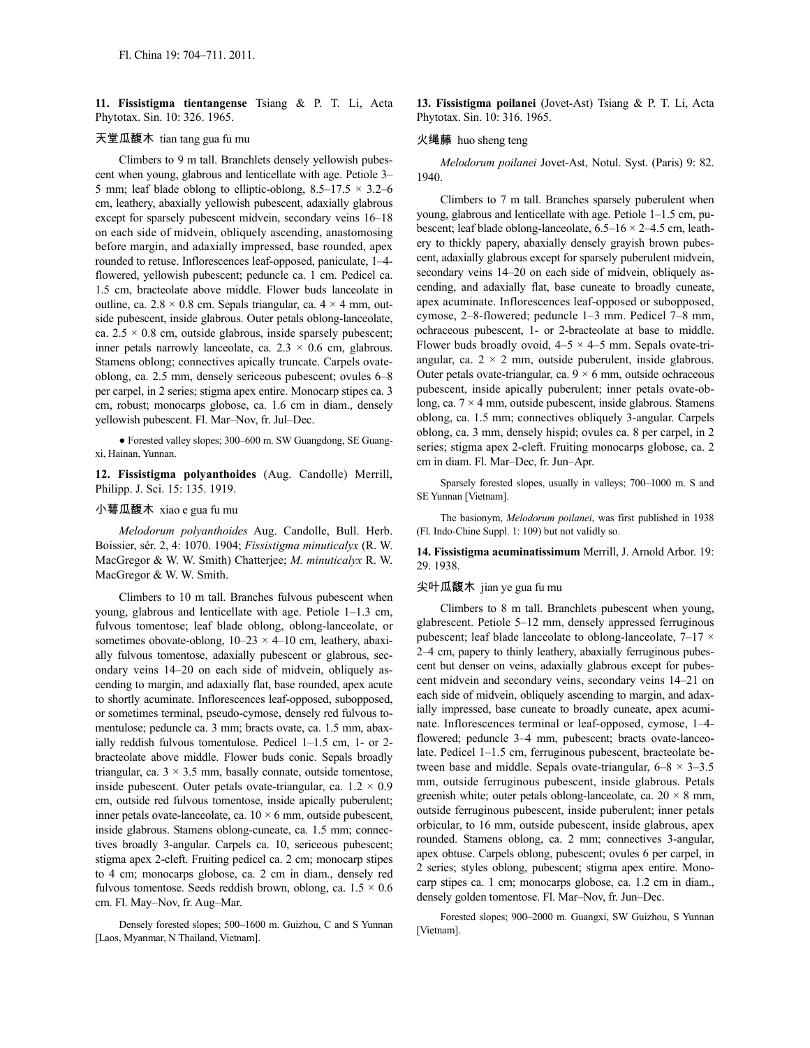**11. Fissistigma tientangense** Tsiang & P. T. Li, Acta Phytotax. Sin. 10: 326. 1965.

# 天堂瓜馥木 tian tang gua fu mu

Climbers to 9 m tall. Branchlets densely yellowish pubescent when young, glabrous and lenticellate with age. Petiole 3– 5 mm; leaf blade oblong to elliptic-oblong,  $8.5-17.5 \times 3.2-6$ cm, leathery, abaxially yellowish pubescent, adaxially glabrous except for sparsely pubescent midvein, secondary veins 16–18 on each side of midvein, obliquely ascending, anastomosing before margin, and adaxially impressed, base rounded, apex rounded to retuse. Inflorescences leaf-opposed, paniculate, 1–4 flowered, yellowish pubescent; peduncle ca. 1 cm. Pedicel ca. 1.5 cm, bracteolate above middle. Flower buds lanceolate in outline, ca.  $2.8 \times 0.8$  cm. Sepals triangular, ca.  $4 \times 4$  mm, outside pubescent, inside glabrous. Outer petals oblong-lanceolate, ca.  $2.5 \times 0.8$  cm, outside glabrous, inside sparsely pubescent; inner petals narrowly lanceolate, ca.  $2.3 \times 0.6$  cm, glabrous. Stamens oblong; connectives apically truncate. Carpels ovateoblong, ca. 2.5 mm, densely sericeous pubescent; ovules 6–8 per carpel, in 2 series; stigma apex entire. Monocarp stipes ca. 3 cm, robust; monocarps globose, ca. 1.6 cm in diam., densely yellowish pubescent. Fl. Mar–Nov, fr. Jul–Dec.

● Forested valley slopes; 300–600 m. SW Guangdong, SE Guangxi, Hainan, Yunnan.

**12. Fissistigma polyanthoides** (Aug. Candolle) Merrill, Philipp. J. Sci. 15: 135. 1919.

### 小萼瓜馥木 xiao e gua fu mu

*Melodorum polyanthoides* Aug. Candolle, Bull. Herb. Boissier, sér. 2, 4: 1070. 1904; *Fissistigma minuticalyx* (R. W. MacGregor & W. W. Smith) Chatterjee; *M. minuticalyx* R. W. MacGregor & W. W. Smith.

Climbers to 10 m tall. Branches fulvous pubescent when young, glabrous and lenticellate with age. Petiole 1–1.3 cm, fulvous tomentose; leaf blade oblong, oblong-lanceolate, or sometimes obovate-oblong,  $10-23 \times 4-10$  cm, leathery, abaxially fulvous tomentose, adaxially pubescent or glabrous, secondary veins 14–20 on each side of midvein, obliquely ascending to margin, and adaxially flat, base rounded, apex acute to shortly acuminate. Inflorescences leaf-opposed, subopposed, or sometimes terminal, pseudo-cymose, densely red fulvous tomentulose; peduncle ca. 3 mm; bracts ovate, ca. 1.5 mm, abaxially reddish fulvous tomentulose. Pedicel 1–1.5 cm, 1- or 2 bracteolate above middle. Flower buds conic. Sepals broadly triangular, ca.  $3 \times 3.5$  mm, basally connate, outside tomentose, inside pubescent. Outer petals ovate-triangular, ca.  $1.2 \times 0.9$ cm, outside red fulvous tomentose, inside apically puberulent; inner petals ovate-lanceolate, ca.  $10 \times 6$  mm, outside pubescent, inside glabrous. Stamens oblong-cuneate, ca. 1.5 mm; connectives broadly 3-angular. Carpels ca. 10, sericeous pubescent; stigma apex 2-cleft. Fruiting pedicel ca. 2 cm; monocarp stipes to 4 cm; monocarps globose, ca. 2 cm in diam., densely red fulvous tomentose. Seeds reddish brown, oblong, ca.  $1.5 \times 0.6$ cm. Fl. May–Nov, fr. Aug–Mar.

Densely forested slopes; 500–1600 m. Guizhou, C and S Yunnan [Laos, Myanmar, N Thailand, Vietnam].

**13. Fissistigma poilanei** (Jovet-Ast) Tsiang & P. T. Li, Acta Phytotax. Sin. 10: 316. 1965.

#### 火绳藤 huo sheng teng

*Melodorum poilanei* Jovet-Ast, Notul. Syst. (Paris) 9: 82. 1940.

Climbers to 7 m tall. Branches sparsely puberulent when young, glabrous and lenticellate with age. Petiole 1–1.5 cm, pubescent; leaf blade oblong-lanceolate, 6.5–16 × 2–4.5 cm, leathery to thickly papery, abaxially densely grayish brown pubescent, adaxially glabrous except for sparsely puberulent midvein, secondary veins  $14-20$  on each side of midvein, obliquely ascending, and adaxially flat, base cuneate to broadly cuneate, apex acuminate. Inflorescences leaf-opposed or subopposed, cymose, 2–8-flowered; peduncle 1–3 mm. Pedicel 7–8 mm, ochraceous pubescent, 1- or 2-bracteolate at base to middle. Flower buds broadly ovoid,  $4-5 \times 4-5$  mm. Sepals ovate-triangular, ca.  $2 \times 2$  mm, outside puberulent, inside glabrous. Outer petals ovate-triangular, ca.  $9 \times 6$  mm, outside ochraceous pubescent, inside apically puberulent; inner petals ovate-oblong, ca.  $7 \times 4$  mm, outside pubescent, inside glabrous. Stamens oblong, ca. 1.5 mm; connectives obliquely 3-angular. Carpels oblong, ca. 3 mm, densely hispid; ovules ca. 8 per carpel, in 2 series; stigma apex 2-cleft. Fruiting monocarps globose, ca. 2 cm in diam. Fl. Mar–Dec, fr. Jun–Apr.

Sparsely forested slopes, usually in valleys; 700–1000 m. S and SE Yunnan [Vietnam].

The basionym, *Melodorum poilanei*, was first published in 1938 (Fl. Indo-Chine Suppl. 1: 109) but not validly so.

**14. Fissistigma acuminatissimum** Merrill, J. Arnold Arbor. 19: 29. 1938.

#### 尖叶瓜馥木 jian ye gua fu mu

Climbers to 8 m tall. Branchlets pubescent when young, glabrescent. Petiole 5–12 mm, densely appressed ferruginous pubescent; leaf blade lanceolate to oblong-lanceolate,  $7-17 \times$ 2–4 cm, papery to thinly leathery, abaxially ferruginous pubescent but denser on veins, adaxially glabrous except for pubescent midvein and secondary veins, secondary veins 14–21 on each side of midvein, obliquely ascending to margin, and adaxially impressed, base cuneate to broadly cuneate, apex acuminate. Inflorescences terminal or leaf-opposed, cymose, 1–4 flowered; peduncle 3–4 mm, pubescent; bracts ovate-lanceolate. Pedicel 1–1.5 cm, ferruginous pubescent, bracteolate between base and middle. Sepals ovate-triangular,  $6-8 \times 3-3.5$ mm, outside ferruginous pubescent, inside glabrous. Petals greenish white; outer petals oblong-lanceolate, ca.  $20 \times 8$  mm, outside ferruginous pubescent, inside puberulent; inner petals orbicular, to 16 mm, outside pubescent, inside glabrous, apex rounded. Stamens oblong, ca. 2 mm; connectives 3-angular, apex obtuse. Carpels oblong, pubescent; ovules 6 per carpel, in 2 series; styles oblong, pubescent; stigma apex entire. Monocarp stipes ca. 1 cm; monocarps globose, ca. 1.2 cm in diam., densely golden tomentose. Fl. Mar–Nov, fr. Jun–Dec.

Forested slopes; 900–2000 m. Guangxi, SW Guizhou, S Yunnan [Vietnam].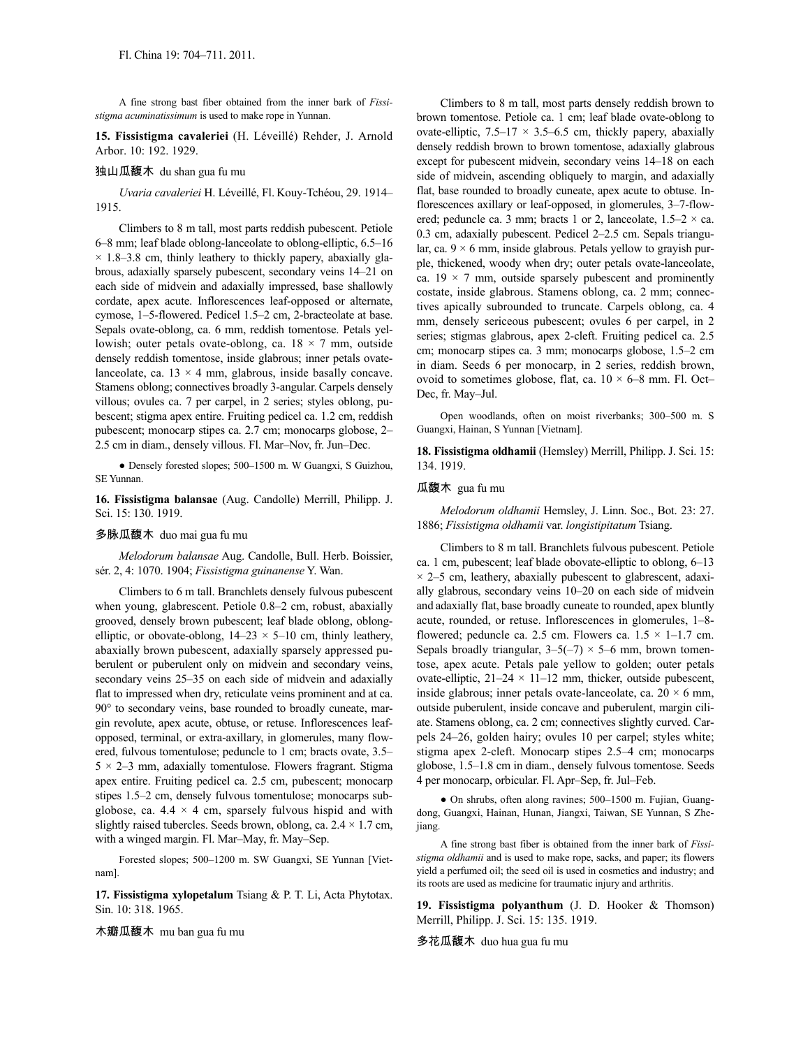A fine strong bast fiber obtained from the inner bark of *Fissistigma acuminatissimum* is used to make rope in Yunnan.

**15. Fissistigma cavaleriei** (H. Léveillé) Rehder, J. Arnold Arbor. 10: 192. 1929.

#### 独山瓜馥木 du shan gua fu mu

*Uvaria cavaleriei* H. Léveillé, Fl. Kouy-Tchéou, 29. 1914– 1915.

Climbers to 8 m tall, most parts reddish pubescent. Petiole 6–8 mm; leaf blade oblong-lanceolate to oblong-elliptic, 6.5–16  $\times$  1.8–3.8 cm, thinly leathery to thickly papery, abaxially glabrous, adaxially sparsely pubescent, secondary veins 14–21 on each side of midvein and adaxially impressed, base shallowly cordate, apex acute. Inflorescences leaf-opposed or alternate, cymose, 1–5-flowered. Pedicel 1.5–2 cm, 2-bracteolate at base. Sepals ovate-oblong, ca. 6 mm, reddish tomentose. Petals yellowish; outer petals ovate-oblong, ca.  $18 \times 7$  mm, outside densely reddish tomentose, inside glabrous; inner petals ovatelanceolate, ca.  $13 \times 4$  mm, glabrous, inside basally concave. Stamens oblong; connectives broadly 3-angular. Carpels densely villous; ovules ca. 7 per carpel, in 2 series; styles oblong, pubescent; stigma apex entire. Fruiting pedicel ca. 1.2 cm, reddish pubescent; monocarp stipes ca. 2.7 cm; monocarps globose, 2– 2.5 cm in diam., densely villous. Fl. Mar–Nov, fr. Jun–Dec.

● Densely forested slopes; 500–1500 m. W Guangxi, S Guizhou, SE Yunnan.

**16. Fissistigma balansae** (Aug. Candolle) Merrill, Philipp. J. Sci. 15: 130. 1919.

### 多脉瓜馥木 duo mai gua fu mu

*Melodorum balansae* Aug. Candolle, Bull. Herb. Boissier, sér. 2, 4: 1070. 1904; *Fissistigma guinanense* Y. Wan.

Climbers to 6 m tall. Branchlets densely fulvous pubescent when young, glabrescent. Petiole 0.8–2 cm, robust, abaxially grooved, densely brown pubescent; leaf blade oblong, oblongelliptic, or obovate-oblong,  $14-23 \times 5-10$  cm, thinly leathery, abaxially brown pubescent, adaxially sparsely appressed puberulent or puberulent only on midvein and secondary veins, secondary veins 25–35 on each side of midvein and adaxially flat to impressed when dry, reticulate veins prominent and at ca. 90° to secondary veins, base rounded to broadly cuneate, margin revolute, apex acute, obtuse, or retuse. Inflorescences leafopposed, terminal, or extra-axillary, in glomerules, many flowered, fulvous tomentulose; peduncle to 1 cm; bracts ovate, 3.5–  $5 \times 2 - 3$  mm, adaxially tomentulose. Flowers fragrant. Stigma apex entire. Fruiting pedicel ca. 2.5 cm, pubescent; monocarp stipes 1.5–2 cm, densely fulvous tomentulose; monocarps subglobose, ca.  $4.4 \times 4$  cm, sparsely fulvous hispid and with slightly raised tubercles. Seeds brown, oblong, ca.  $2.4 \times 1.7$  cm, with a winged margin. Fl. Mar–May, fr. May–Sep.

Forested slopes; 500–1200 m. SW Guangxi, SE Yunnan [Vietnam].

**17. Fissistigma xylopetalum** Tsiang & P. T. Li, Acta Phytotax. Sin. 10: 318. 1965.

木瓣瓜馥木 mu ban gua fu mu

Climbers to 8 m tall, most parts densely reddish brown to brown tomentose. Petiole ca. 1 cm; leaf blade ovate-oblong to ovate-elliptic,  $7.5-17 \times 3.5-6.5$  cm, thickly papery, abaxially densely reddish brown to brown tomentose, adaxially glabrous except for pubescent midvein, secondary veins 14–18 on each side of midvein, ascending obliquely to margin, and adaxially flat, base rounded to broadly cuneate, apex acute to obtuse. Inflorescences axillary or leaf-opposed, in glomerules, 3–7-flowered; peduncle ca. 3 mm; bracts 1 or 2, lanceolate,  $1.5-2 \times$  ca. 0.3 cm, adaxially pubescent. Pedicel 2–2.5 cm. Sepals triangular, ca.  $9 \times 6$  mm, inside glabrous. Petals yellow to grayish purple, thickened, woody when dry; outer petals ovate-lanceolate, ca.  $19 \times 7$  mm, outside sparsely pubescent and prominently costate, inside glabrous. Stamens oblong, ca. 2 mm; connectives apically subrounded to truncate. Carpels oblong, ca. 4 mm, densely sericeous pubescent; ovules 6 per carpel, in 2 series; stigmas glabrous, apex 2-cleft. Fruiting pedicel ca. 2.5 cm; monocarp stipes ca. 3 mm; monocarps globose, 1.5–2 cm in diam. Seeds 6 per monocarp, in 2 series, reddish brown, ovoid to sometimes globose, flat, ca.  $10 \times 6-8$  mm. Fl. Oct-Dec, fr. May–Jul.

Open woodlands, often on moist riverbanks; 300–500 m. S Guangxi, Hainan, S Yunnan [Vietnam].

**18. Fissistigma oldhamii** (Hemsley) Merrill, Philipp. J. Sci. 15: 134. 1919.

### 瓜馥木 gua fu mu

*Melodorum oldhamii* Hemsley, J. Linn. Soc., Bot. 23: 27. 1886; *Fissistigma oldhamii* var. *longistipitatum* Tsiang.

Climbers to 8 m tall. Branchlets fulvous pubescent. Petiole ca. 1 cm, pubescent; leaf blade obovate-elliptic to oblong, 6–13  $\times$  2–5 cm, leathery, abaxially pubescent to glabrescent, adaxially glabrous, secondary veins 10–20 on each side of midvein and adaxially flat, base broadly cuneate to rounded, apex bluntly acute, rounded, or retuse. Inflorescences in glomerules, 1–8 flowered; peduncle ca. 2.5 cm. Flowers ca.  $1.5 \times 1 - 1.7$  cm. Sepals broadly triangular,  $3-5(-7) \times 5-6$  mm, brown tomentose, apex acute. Petals pale yellow to golden; outer petals ovate-elliptic,  $21-24 \times 11-12$  mm, thicker, outside pubescent, inside glabrous; inner petals ovate-lanceolate, ca.  $20 \times 6$  mm, outside puberulent, inside concave and puberulent, margin ciliate. Stamens oblong, ca. 2 cm; connectives slightly curved. Carpels 24–26, golden hairy; ovules 10 per carpel; styles white; stigma apex 2-cleft. Monocarp stipes 2.5–4 cm; monocarps globose, 1.5–1.8 cm in diam., densely fulvous tomentose. Seeds 4 per monocarp, orbicular. Fl. Apr–Sep, fr. Jul–Feb.

● On shrubs, often along ravines; 500–1500 m. Fujian, Guangdong, Guangxi, Hainan, Hunan, Jiangxi, Taiwan, SE Yunnan, S Zhejiang.

A fine strong bast fiber is obtained from the inner bark of *Fissistigma oldhamii* and is used to make rope, sacks, and paper; its flowers yield a perfumed oil; the seed oil is used in cosmetics and industry; and its roots are used as medicine for traumatic injury and arthritis.

**19. Fissistigma polyanthum** (J. D. Hooker & Thomson) Merrill, Philipp. J. Sci. 15: 135. 1919.

多花瓜馥木 duo hua gua fu mu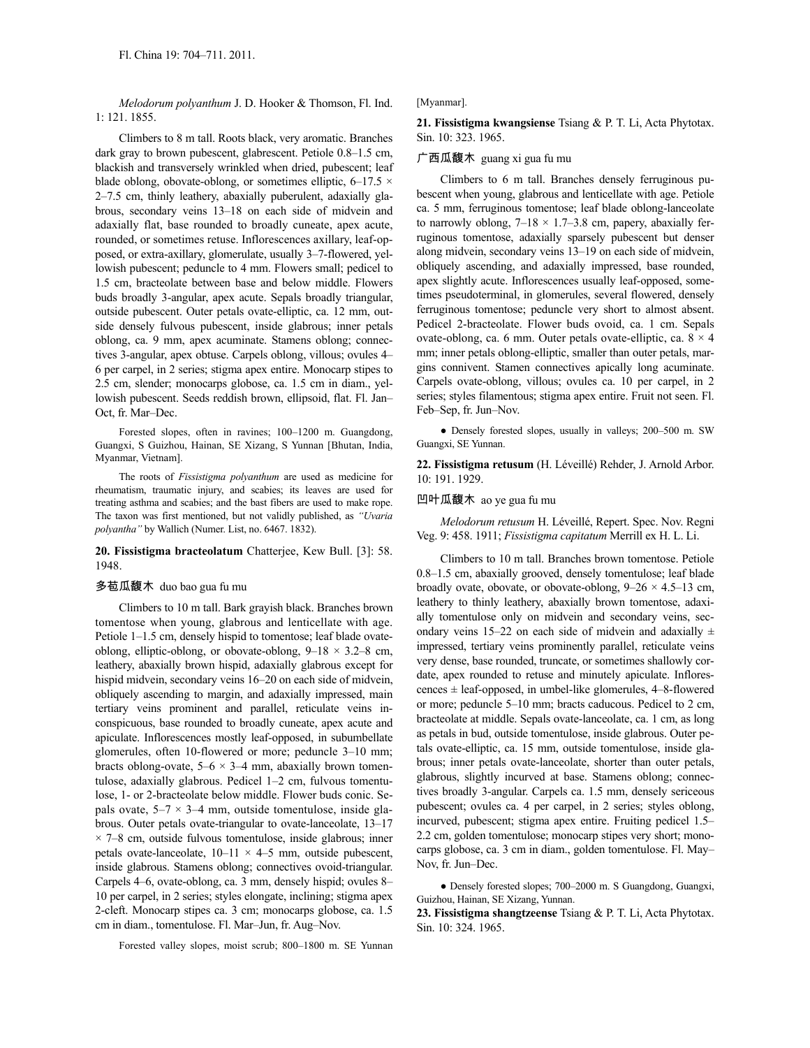*Melodorum polyanthum* J. D. Hooker & Thomson, Fl. Ind. 1: 121. 1855.

Climbers to 8 m tall. Roots black, very aromatic. Branches dark gray to brown pubescent, glabrescent. Petiole 0.8–1.5 cm, blackish and transversely wrinkled when dried, pubescent; leaf blade oblong, obovate-oblong, or sometimes elliptic,  $6-17.5 \times$ 2–7.5 cm, thinly leathery, abaxially puberulent, adaxially glabrous, secondary veins 13–18 on each side of midvein and adaxially flat, base rounded to broadly cuneate, apex acute, rounded, or sometimes retuse. Inflorescences axillary, leaf-opposed, or extra-axillary, glomerulate, usually 3–7-flowered, yellowish pubescent; peduncle to 4 mm. Flowers small; pedicel to 1.5 cm, bracteolate between base and below middle. Flowers buds broadly 3-angular, apex acute. Sepals broadly triangular, outside pubescent. Outer petals ovate-elliptic, ca. 12 mm, outside densely fulvous pubescent, inside glabrous; inner petals oblong, ca. 9 mm, apex acuminate. Stamens oblong; connectives 3-angular, apex obtuse. Carpels oblong, villous; ovules 4– 6 per carpel, in 2 series; stigma apex entire. Monocarp stipes to 2.5 cm, slender; monocarps globose, ca. 1.5 cm in diam., yellowish pubescent. Seeds reddish brown, ellipsoid, flat. Fl. Jan– Oct, fr. Mar–Dec.

Forested slopes, often in ravines; 100–1200 m. Guangdong, Guangxi, S Guizhou, Hainan, SE Xizang, S Yunnan [Bhutan, India, Myanmar, Vietnam].

The roots of *Fissistigma polyanthum* are used as medicine for rheumatism, traumatic injury, and scabies; its leaves are used for treating asthma and scabies; and the bast fibers are used to make rope. The taxon was first mentioned, but not validly published, as *"Uvaria polyantha"* by Wallich (Numer. List, no. 6467. 1832).

# **20. Fissistigma bracteolatum** Chatterjee, Kew Bull. [3]: 58. 1948.

#### 多苞瓜馥木 duo bao gua fu mu

Climbers to 10 m tall. Bark grayish black. Branches brown tomentose when young, glabrous and lenticellate with age. Petiole 1–1.5 cm, densely hispid to tomentose; leaf blade ovateoblong, elliptic-oblong, or obovate-oblong,  $9-18 \times 3.2-8$  cm, leathery, abaxially brown hispid, adaxially glabrous except for hispid midvein, secondary veins 16–20 on each side of midvein, obliquely ascending to margin, and adaxially impressed, main tertiary veins prominent and parallel, reticulate veins inconspicuous, base rounded to broadly cuneate, apex acute and apiculate. Inflorescences mostly leaf-opposed, in subumbellate glomerules, often 10-flowered or more; peduncle 3–10 mm; bracts oblong-ovate,  $5-6 \times 3-4$  mm, abaxially brown tomentulose, adaxially glabrous. Pedicel 1–2 cm, fulvous tomentulose, 1- or 2-bracteolate below middle. Flower buds conic. Sepals ovate,  $5-7 \times 3-4$  mm, outside tomentulose, inside glabrous. Outer petals ovate-triangular to ovate-lanceolate, 13–17  $\times$  7–8 cm, outside fulvous tomentulose, inside glabrous; inner petals ovate-lanceolate,  $10-11 \times 4-5$  mm, outside pubescent, inside glabrous. Stamens oblong; connectives ovoid-triangular. Carpels 4–6, ovate-oblong, ca. 3 mm, densely hispid; ovules 8– 10 per carpel, in 2 series; styles elongate, inclining; stigma apex 2-cleft. Monocarp stipes ca. 3 cm; monocarps globose, ca. 1.5 cm in diam., tomentulose. Fl. Mar–Jun, fr. Aug–Nov.

Forested valley slopes, moist scrub; 800–1800 m. SE Yunnan

#### [Myanmar].

**21. Fissistigma kwangsiense** Tsiang & P. T. Li, Acta Phytotax. Sin. 10: 323. 1965.

#### 广西瓜馥木 guang xi gua fu mu

Climbers to 6 m tall. Branches densely ferruginous pubescent when young, glabrous and lenticellate with age. Petiole ca. 5 mm, ferruginous tomentose; leaf blade oblong-lanceolate to narrowly oblong,  $7-18 \times 1.7-3.8$  cm, papery, abaxially ferruginous tomentose, adaxially sparsely pubescent but denser along midvein, secondary veins 13–19 on each side of midvein, obliquely ascending, and adaxially impressed, base rounded, apex slightly acute. Inflorescences usually leaf-opposed, sometimes pseudoterminal, in glomerules, several flowered, densely ferruginous tomentose; peduncle very short to almost absent. Pedicel 2-bracteolate. Flower buds ovoid, ca. 1 cm. Sepals ovate-oblong, ca. 6 mm. Outer petals ovate-elliptic, ca.  $8 \times 4$ mm; inner petals oblong-elliptic, smaller than outer petals, margins connivent. Stamen connectives apically long acuminate. Carpels ovate-oblong, villous; ovules ca. 10 per carpel, in 2 series; styles filamentous; stigma apex entire. Fruit not seen. Fl. Feb–Sep, fr. Jun–Nov.

● Densely forested slopes, usually in valleys; 200–500 m. SW Guangxi, SE Yunnan.

**22. Fissistigma retusum** (H. Léveillé) Rehder, J. Arnold Arbor. 10: 191. 1929.

#### 凹叶瓜馥木 ao ye gua fu mu

*Melodorum retusum* H. Léveillé, Repert. Spec. Nov. Regni Veg. 9: 458. 1911; *Fissistigma capitatum* Merrill ex H. L. Li.

Climbers to 10 m tall. Branches brown tomentose. Petiole 0.8–1.5 cm, abaxially grooved, densely tomentulose; leaf blade broadly ovate, obovate, or obovate-oblong,  $9-26 \times 4.5-13$  cm, leathery to thinly leathery, abaxially brown tomentose, adaxially tomentulose only on midvein and secondary veins, secondary veins 15–22 on each side of midvein and adaxially  $\pm$ impressed, tertiary veins prominently parallel, reticulate veins very dense, base rounded, truncate, or sometimes shallowly cordate, apex rounded to retuse and minutely apiculate. Inflorescences ± leaf-opposed, in umbel-like glomerules, 4–8-flowered or more; peduncle 5–10 mm; bracts caducous. Pedicel to 2 cm, bracteolate at middle. Sepals ovate-lanceolate, ca. 1 cm, as long as petals in bud, outside tomentulose, inside glabrous. Outer petals ovate-elliptic, ca. 15 mm, outside tomentulose, inside glabrous; inner petals ovate-lanceolate, shorter than outer petals, glabrous, slightly incurved at base. Stamens oblong; connectives broadly 3-angular. Carpels ca. 1.5 mm, densely sericeous pubescent; ovules ca. 4 per carpel, in 2 series; styles oblong, incurved, pubescent; stigma apex entire. Fruiting pedicel 1.5– 2.2 cm, golden tomentulose; monocarp stipes very short; monocarps globose, ca. 3 cm in diam., golden tomentulose. Fl. May– Nov, fr. Jun–Dec.

● Densely forested slopes; 700–2000 m. S Guangdong, Guangxi, Guizhou, Hainan, SE Xizang, Yunnan.

**23. Fissistigma shangtzeense** Tsiang & P. T. Li, Acta Phytotax. Sin. 10: 324. 1965.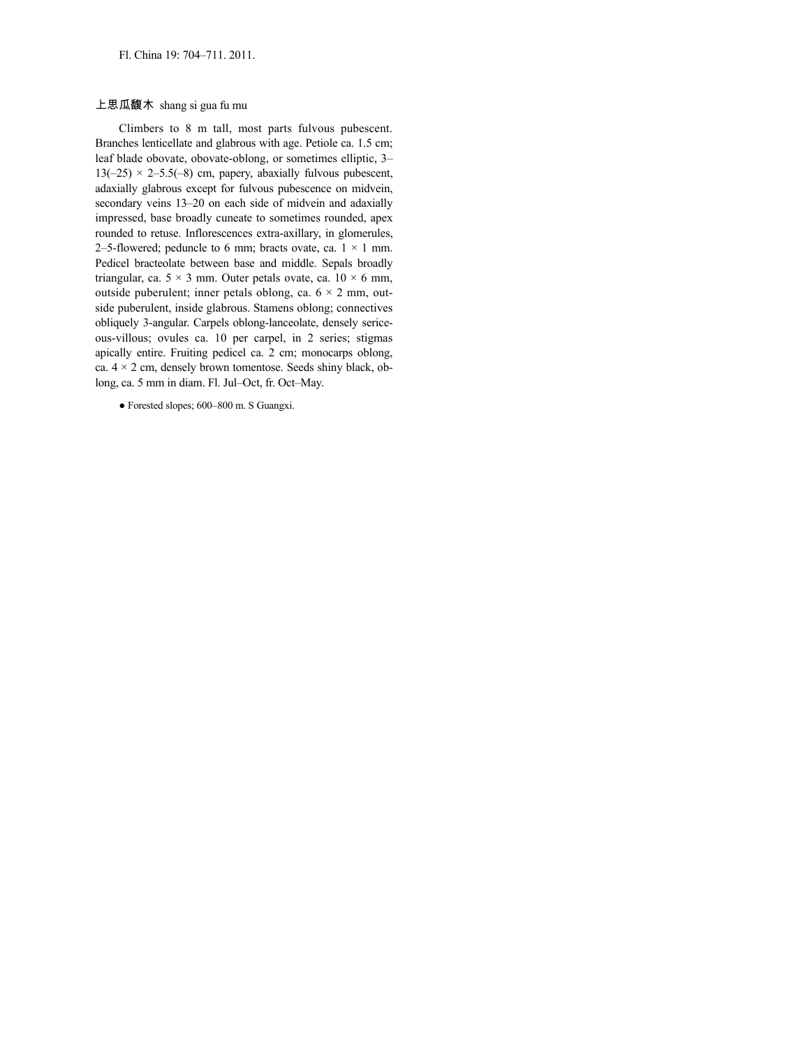#### 上思瓜馥木 shang si gua fu mu

Climbers to 8 m tall, most parts fulvous pubescent. Branches lenticellate and glabrous with age. Petiole ca. 1.5 cm; leaf blade obovate, obovate-oblong, or sometimes elliptic, 3–  $13(-25) \times 2-5.5(-8)$  cm, papery, abaxially fulvous pubescent, adaxially glabrous except for fulvous pubescence on midvein, secondary veins 13–20 on each side of midvein and adaxially impressed, base broadly cuneate to sometimes rounded, apex rounded to retuse. Inflorescences extra-axillary, in glomerules, 2–5-flowered; peduncle to 6 mm; bracts ovate, ca.  $1 \times 1$  mm. Pedicel bracteolate between base and middle. Sepals broadly triangular, ca.  $5 \times 3$  mm. Outer petals ovate, ca.  $10 \times 6$  mm, outside puberulent; inner petals oblong, ca.  $6 \times 2$  mm, outside puberulent, inside glabrous. Stamens oblong; connectives obliquely 3-angular. Carpels oblong-lanceolate, densely sericeous-villous; ovules ca. 10 per carpel, in 2 series; stigmas apically entire. Fruiting pedicel ca. 2 cm; monocarps oblong, ca.  $4 \times 2$  cm, densely brown tomentose. Seeds shiny black, oblong, ca. 5 mm in diam. Fl. Jul–Oct, fr. Oct–May.

● Forested slopes; 600–800 m. S Guangxi.